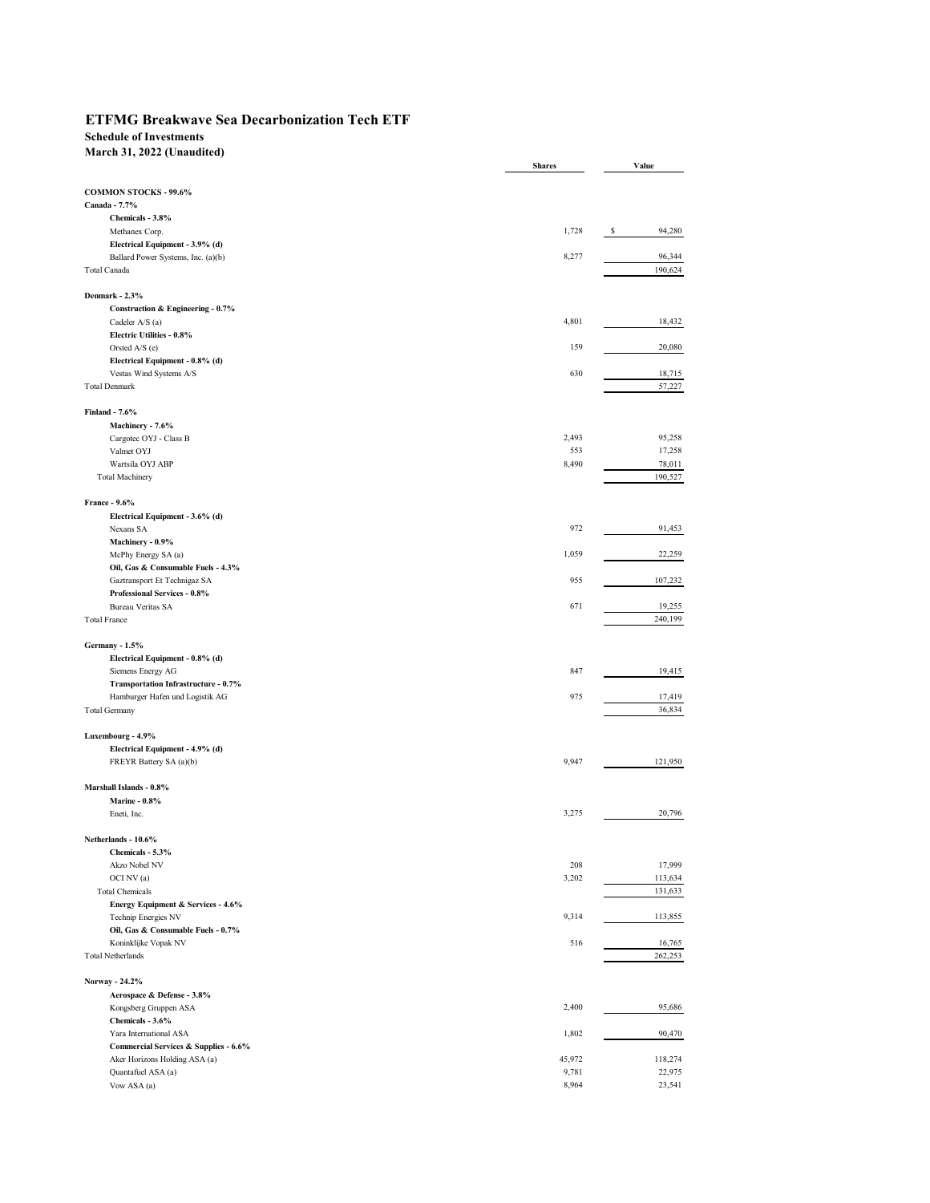## **ETFMG Breakwave Sea Decarbonization Tech ETF**

## **Schedule of Investments**

**March 31, 2022 (Unaudited)**

|                                       | <b>Shares</b> | Value       |
|---------------------------------------|---------------|-------------|
|                                       |               |             |
| <b>COMMON STOCKS - 99.6%</b>          |               |             |
| Canada - 7.7%                         |               |             |
| Chemicals - 3.8%                      |               |             |
| Methanex Corp.                        | 1,728         | 94,280<br>s |
| Electrical Equipment - 3.9% (d)       |               |             |
| Ballard Power Systems, Inc. (a)(b)    | 8,277         | 96,344      |
| Total Canada                          |               | 190,624     |
|                                       |               |             |
| Denmark - 2.3%                        |               |             |
| Construction & Engineering - 0.7%     |               |             |
| Cadeler A/S (a)                       | 4,801         | 18,432      |
| Electric Utilities - 0.8%             |               |             |
| Orsted A/S (e)                        | 159           | 20,080      |
| Electrical Equipment - 0.8% (d)       |               |             |
| Vestas Wind Systems A/S               | 630           | 18,715      |
| <b>Total Denmark</b>                  |               | 57,227      |
|                                       |               |             |
| Finland - 7.6%                        |               |             |
| Machinery - 7.6%                      |               |             |
| Cargotec OYJ - Class B                | 2,493         | 95,258      |
| Valmet OYJ                            | 553           | 17,258      |
| Wartsila OYJ ABP                      | 8,490         | 78,011      |
| <b>Total Machinery</b>                |               | 190,527     |
|                                       |               |             |
| France - 9.6%                         |               |             |
| Electrical Equipment - 3.6% (d)       |               |             |
| Nexans SA                             | 972           | 91,453      |
| Machinery - 0.9%                      |               |             |
| McPhy Energy SA (a)                   | 1,059         | 22,259      |
| Oil, Gas & Consumable Fuels - 4.3%    |               |             |
| Gaztransport Et Technigaz SA          | 955           | 107,232     |
| <b>Professional Services - 0.8%</b>   |               |             |
| <b>Bureau Veritas SA</b>              | 671           | 19,255      |
| <b>Total France</b>                   |               | 240,199     |
|                                       |               |             |
| Germany - 1.5%                        |               |             |
|                                       |               |             |
| Electrical Equipment - 0.8% (d)       | 847           | 19,415      |
| Siemens Energy AG                     |               |             |
| Transportation Infrastructure - 0.7%  | 975           | 17,419      |
| Hamburger Hafen und Logistik AG       |               | 36,834      |
| <b>Total Germany</b>                  |               |             |
|                                       |               |             |
| Luxembourg - 4.9%                     |               |             |
| Electrical Equipment - 4.9% (d)       |               |             |
| FREYR Battery SA (a)(b)               | 9,947         | 121,950     |
|                                       |               |             |
| Marshall Islands - 0.8%               |               |             |
| <b>Marine - 0.8%</b>                  |               |             |
| Eneti, Inc.                           | 3,275         | 20,796      |
|                                       |               |             |
| Netherlands - 10.6%                   |               |             |
| Chemicals - 5.3%                      |               |             |
| Akzo Nobel NV                         | 208           | 17,999      |
| OCI NV (a)                            | 3,202         | 113,634     |
| <b>Total Chemicals</b>                |               | 131,633     |
| Energy Equipment & Services - 4.6%    |               |             |
| Technip Energies NV                   | 9,314         | 113,855     |
| Oil, Gas & Consumable Fuels - 0.7%    |               |             |
| Koninklijke Vopak NV                  | 516           | 16,765      |
| <b>Total Netherlands</b>              |               | 262,253     |
|                                       |               |             |
| Norway - 24.2%                        |               |             |
| Aerospace & Defense - 3.8%            |               |             |
| Kongsberg Gruppen ASA                 | 2,400         | 95,686      |
| Chemicals - 3.6%                      |               |             |
|                                       | 1,802         | 90,470      |
| Yara International ASA                |               |             |
| Commercial Services & Supplies - 6.6% |               |             |
| Aker Horizons Holding ASA (a)         | 45,972        | 118,274     |
| Quantafuel ASA (a)                    | 9,781         | 22,975      |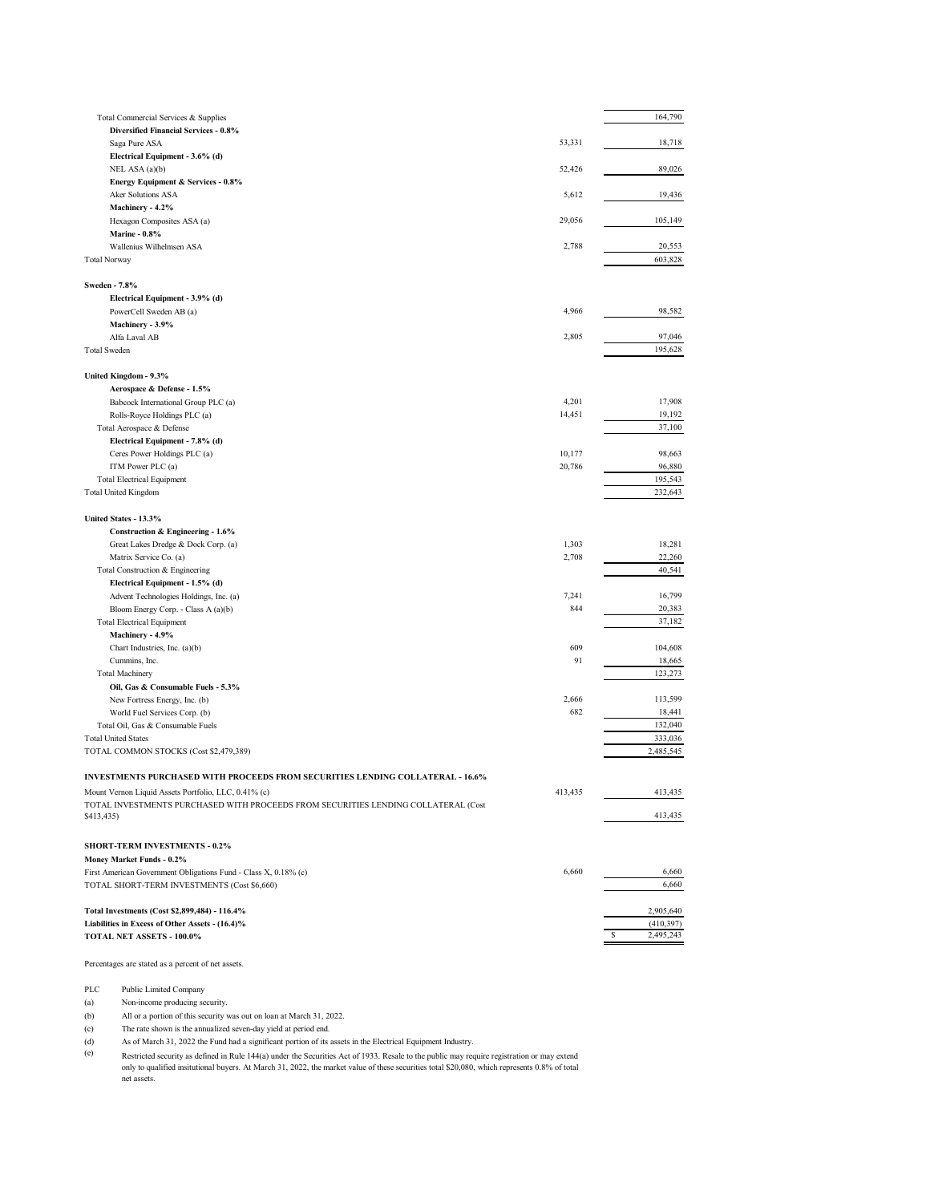| Total Commercial Services & Supplies                                                                           |         | 164,790              |
|----------------------------------------------------------------------------------------------------------------|---------|----------------------|
| <b>Diversified Financial Services - 0.8%</b>                                                                   |         |                      |
| Saga Pure ASA                                                                                                  | 53,331  | 18,718               |
| Electrical Equipment - 3.6% (d)<br>NEL ASA (a)(b)                                                              | 52,426  | 89,026               |
| Energy Equipment & Services - 0.8%                                                                             |         |                      |
| Aker Solutions ASA                                                                                             | 5,612   | 19,436               |
| Machinery - 4.2%                                                                                               |         |                      |
| Hexagon Composites ASA (a)                                                                                     | 29,056  | 105,149              |
| <b>Marine - 0.8%</b><br>Wallenius Wilhelmsen ASA                                                               | 2,788   | 20,553               |
| <b>Total Norway</b>                                                                                            |         | 603,828              |
|                                                                                                                |         |                      |
| <b>Sweden - 7.8%</b>                                                                                           |         |                      |
| Electrical Equipment - 3.9% (d)                                                                                |         |                      |
| PowerCell Sweden AB (a)<br>Machinery - 3.9%                                                                    | 4,966   | 98,582               |
| Alfa Laval AB                                                                                                  | 2,805   | 97,046               |
| <b>Total Sweden</b>                                                                                            |         | 195,628              |
|                                                                                                                |         |                      |
| United Kingdom - 9.3%                                                                                          |         |                      |
| Aerospace & Defense - 1.5%                                                                                     |         |                      |
| Babcock International Group PLC (a)                                                                            | 4,201   | 17,908               |
| Rolls-Royce Holdings PLC (a)<br>Total Aerospace & Defense                                                      | 14,451  | 19,192<br>37,100     |
| Electrical Equipment - 7.8% (d)                                                                                |         |                      |
| Ceres Power Holdings PLC (a)                                                                                   | 10,177  | 98,663               |
| ITM Power PLC (a)                                                                                              | 20,786  | 96,880               |
| <b>Total Electrical Equipment</b>                                                                              |         | 195,543              |
| <b>Total United Kingdom</b>                                                                                    |         | 232,643              |
| United States - 13.3%                                                                                          |         |                      |
| Construction & Engineering - 1.6%                                                                              |         |                      |
| Great Lakes Dredge & Dock Corp. (a)                                                                            | 1,303   | 18,281               |
| Matrix Service Co. (a)                                                                                         | 2,708   | 22,260               |
| Total Construction & Engineering                                                                               |         | 40,541               |
| Electrical Equipment - 1.5% (d)                                                                                |         |                      |
| Advent Technologies Holdings, Inc. (a)                                                                         | 7,241   | 16,799               |
| Bloom Energy Corp. - Class A (a)(b)                                                                            | 844     | 20,383               |
| <b>Total Electrical Equipment</b>                                                                              |         | 37,182               |
| Machinery - 4.9%<br>Chart Industries, Inc. (a)(b)                                                              | 609     | 104,608              |
| Cummins, Inc.                                                                                                  | 91      | 18,665               |
| <b>Total Machinery</b>                                                                                         |         | 123,273              |
| Oil, Gas & Consumable Fuels - 5.3%                                                                             |         |                      |
| New Fortress Energy, Inc. (b)                                                                                  | 2,666   | 113,599              |
| World Fuel Services Corp. (b)                                                                                  | 682     | 18,441               |
| Total Oil, Gas & Consumable Fuels<br><b>Total United States</b>                                                |         | 132,040              |
| TOTAL COMMON STOCKS (Cost \$2,479,389)                                                                         |         | 333,036<br>2,485,545 |
|                                                                                                                |         |                      |
| INVESTMENTS PURCHASED WITH PROCEEDS FROM SECURITIES LENDING COLLATERAL - 16.6%                                 |         |                      |
| Mount Vernon Liquid Assets Portfolio, LLC, 0.41% (c)                                                           | 413,435 | 413,435              |
| TOTAL INVESTMENTS PURCHASED WITH PROCEEDS FROM SECURITIES LENDING COLLATERAL (Cost                             |         |                      |
| \$413,435)                                                                                                     |         | 413,435              |
|                                                                                                                |         |                      |
| <b>SHORT-TERM INVESTMENTS - 0.2%</b>                                                                           |         |                      |
| Money Market Funds - 0.2%                                                                                      |         |                      |
| First American Government Obligations Fund - Class X, 0.18% (c)<br>TOTAL SHORT-TERM INVESTMENTS (Cost \$6,660) | 6,660   | 6,660<br>6,660       |
|                                                                                                                |         |                      |
| Total Investments (Cost \$2,899,484) - 116.4%                                                                  |         | 2,905,640            |
| Liabilities in Excess of Other Assets - (16.4)%                                                                |         | (410,397)            |
| TOTAL NET ASSETS - 100.0%                                                                                      |         | 2,495,243<br>\$      |
|                                                                                                                |         |                      |
| Percentages are stated as a percent of net assets.                                                             |         |                      |
|                                                                                                                |         |                      |

PLC Public Limited Company<br>(a) Non-income producing set

Non-income producing security.

(b) All or a portion of this security was out on loan at March 31, 2022.

(c) The rate shown is the annualized seven-day yield at period end.

(d) As of March 31, 2022 the Fund had a significant portion of its assets in the Electrical Equipment Industry.

(e) Restricted security as defined in Rule 144(a) under the Securities Act of 1933. Resale to the public may require registration or may extend<br>only to qualified insitutional buyers. At March 31, 2022, the market value of thes